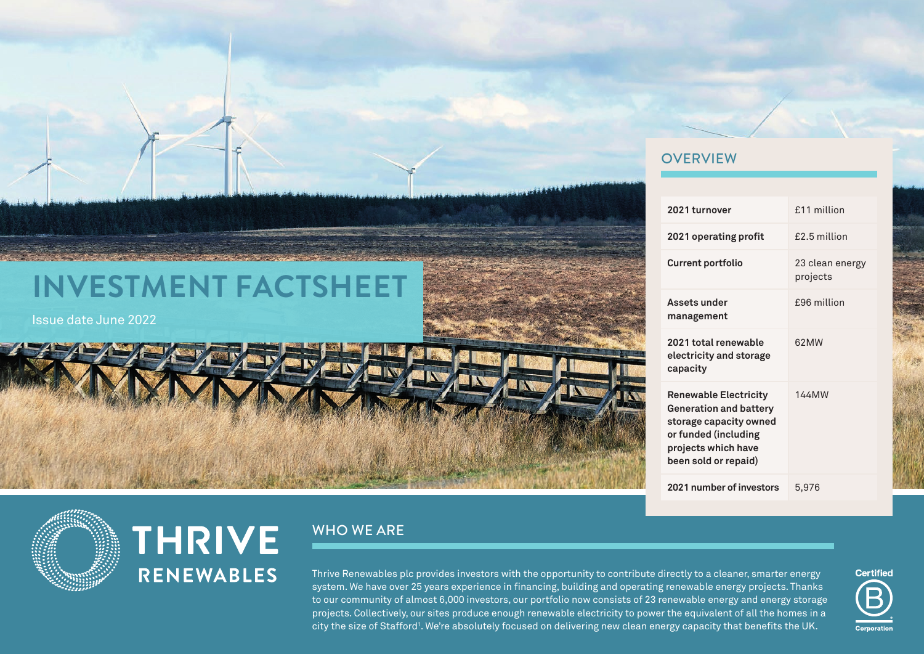#### **OVERVIEW**

|  | 2021 turnover                                                                                                                                                  | £11 million                 |
|--|----------------------------------------------------------------------------------------------------------------------------------------------------------------|-----------------------------|
|  | 2021 operating profit                                                                                                                                          | £2.5 million                |
|  | <b>Current portfolio</b>                                                                                                                                       | 23 clean energy<br>projects |
|  | Assets under<br>management                                                                                                                                     | £96 million                 |
|  | 2021 total renewable<br>electricity and storage<br>capacity                                                                                                    | 62MW                        |
|  | <b>Renewable Electricity</b><br><b>Generation and battery</b><br>storage capacity owned<br>or funded (including<br>projects which have<br>been sold or repaid) | <b>144MW</b>                |
|  | 2021 number of investors                                                                                                                                       | 5,976                       |

## **INVESTMENT FACTSHEET**

Issue date June 2022

# **THRIVE RENEWABLES**

## WHO WE ARE

Thrive Renewables plc provides investors with the opportunity to contribute directly to a cleaner, smarter energy system. We have over 25 years experience in financing, building and operating renewable energy projects. Thanks to our community of almost 6,000 investors, our portfolio now consists of 23 renewable energy and energy storage projects. Collectively, our sites produce enough renewable electricity to power the equivalent of all the homes in a city the size of Stafford'. We're absolutely focused on delivering new clean energy capacity that benefits the UK.

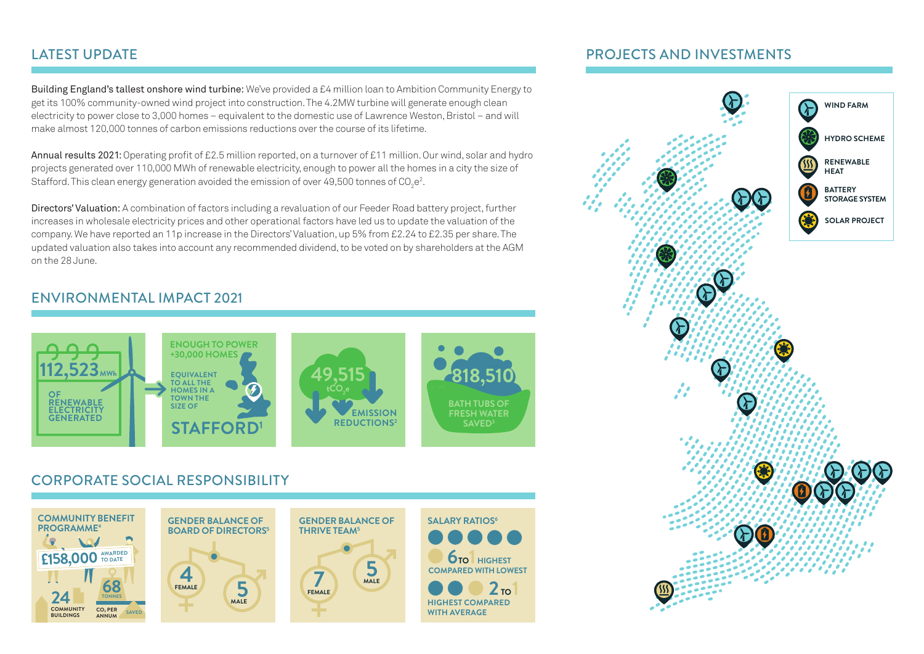### LATEST UPDATE

Building England's tallest onshore wind turbine: We've provided a £4 million loan to Ambition Community Energy to get its 100% community-owned wind project into construction. The 4.2MW turbine will generate enough clean electricity to power close to 3,000 homes – equivalent to the domestic use of Lawrence Weston, Bristol – and will make almost 120,000 tonnes of carbon emissions reductions over the course of its lifetime.

Annual results 2021: Operating profit of £2.5 million reported, on a turnover of £11 million. Our wind, solar and hydro projects generated over 110,000 MWh of renewable electricity, enough to power all the homes in a city the size of Stafford. This clean energy generation avoided the emission of over 49,500 tonnes of CO<sub>2</sub>e<sup>2</sup>.

Directors' Valuation: A combination of factors including a revaluation of our Feeder Road battery project, further increases in wholesale electricity prices and other operational factors have led us to update the valuation of the company. We have reported an 11p increase in the Directors' Valuation, up 5% from £2.24 to £2.35 per share. The updated valuation also takes into account any recommended dividend, to be voted on by shareholders at the AGM on the 28 June.

#### ENVIRONMENTAL IMPACT 2021



## CORPORATE SOCIAL RESPONSIBILITY



#### PROJECTS AND INVESTMENTS

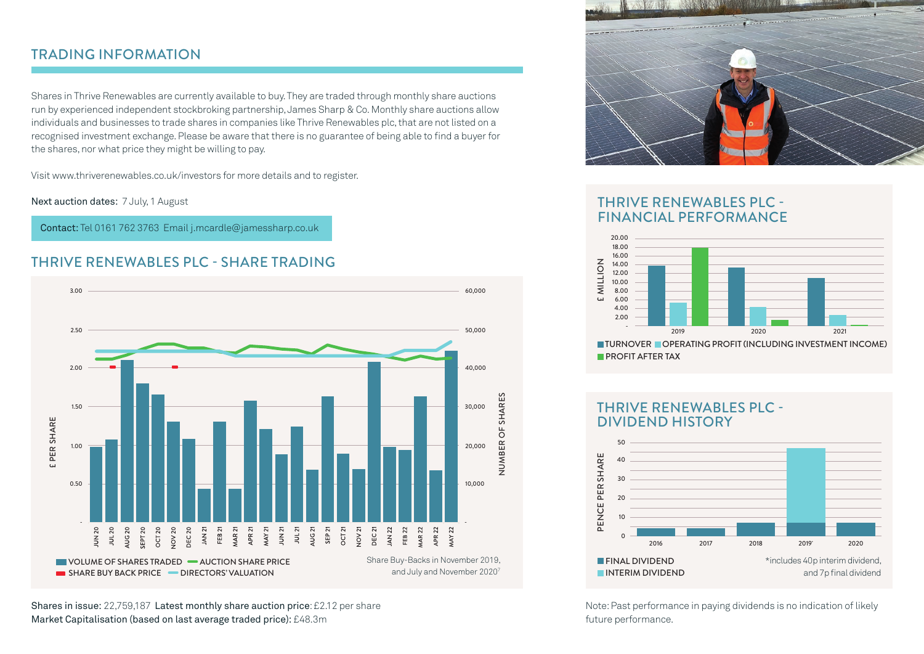## TRADING INFORMATION

Shares in Thrive Renewables are currently available to buy. They are traded through monthly share auctions run by experienced independent stockbroking partnership, James Sharp & Co. Monthly share auctions allow individuals and businesses to trade shares in companies like Thrive Renewables plc, that are not listed on a recognised investment exchange. Please be aware that there is no guarantee of being able to find a buyer for the shares, nor what price they might be willing to pay.

Visit www.thriverenewables.co.uk/investors for more details and to register.

Next auction dates: 7 July, 1 August

Contact: Tel 0161 762 3763 Email j.mcardle@jamessharp.co.uk

#### THRIVE RENEWABLES PLC - SHARE TRADING



Shares in issue: 22,759,187 Latest monthly share auction price: £2.12 per share Market Capitalisation (based on last average traded price): £48.3m



#### THRIVE RENEWABLES PLC - FINANCIAL PERFORMANCE



#### THRIVE RENEWABLES PIC -DIVIDEND HISTORY



Note: Past performance in paying dividends is no indication of likely